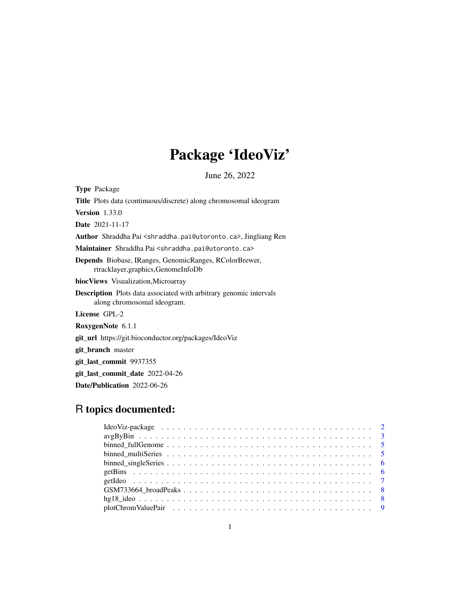# Package 'IdeoViz'

June 26, 2022

Type Package Title Plots data (continuous/discrete) along chromosomal ideogram Version 1.33.0 Date 2021-11-17 Author Shraddha Pai <shraddha.pai@utoronto.ca>, Jingliang Ren Maintainer Shraddha Pai <shraddha.pai@utoronto.ca> Depends Biobase, IRanges, GenomicRanges, RColorBrewer, rtracklayer,graphics,GenomeInfoDb biocViews Visualization,Microarray Description Plots data associated with arbitrary genomic intervals along chromosomal ideogram. License GPL-2 RoxygenNote 6.1.1 git\_url https://git.bioconductor.org/packages/IdeoViz git\_branch master git\_last\_commit 9937355 git\_last\_commit\_date 2022-04-26

Date/Publication 2022-06-26

## R topics documented: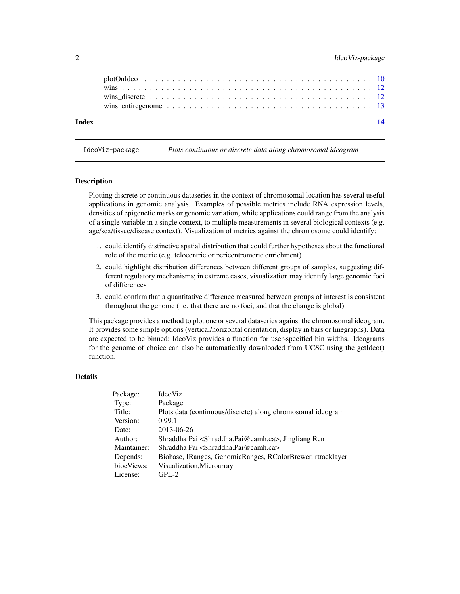#### <span id="page-1-0"></span>2 IdeoViz-package

| Index | 14 |
|-------|----|
|       |    |
|       |    |
|       |    |
|       |    |

IdeoViz-package *Plots continuous or discrete data along chromosomal ideogram*

#### Description

Plotting discrete or continuous dataseries in the context of chromosomal location has several useful applications in genomic analysis. Examples of possible metrics include RNA expression levels, densities of epigenetic marks or genomic variation, while applications could range from the analysis of a single variable in a single context, to multiple measurements in several biological contexts (e.g. age/sex/tissue/disease context). Visualization of metrics against the chromosome could identify:

- 1. could identify distinctive spatial distribution that could further hypotheses about the functional role of the metric (e.g. telocentric or pericentromeric enrichment)
- 2. could highlight distribution differences between different groups of samples, suggesting different regulatory mechanisms; in extreme cases, visualization may identify large genomic foci of differences
- 3. could confirm that a quantitative difference measured between groups of interest is consistent throughout the genome (i.e. that there are no foci, and that the change is global).

This package provides a method to plot one or several dataseries against the chromosomal ideogram. It provides some simple options (vertical/horizontal orientation, display in bars or linegraphs). Data are expected to be binned; IdeoViz provides a function for user-specified bin widths. Ideograms for the genome of choice can also be automatically downloaded from UCSC using the getIdeo() function.

#### Details

| IdeoViz                                                                   |
|---------------------------------------------------------------------------|
| Package                                                                   |
| Plots data (continuous/discrete) along chromosomal ideogram               |
| 0.99.1                                                                    |
| 2013-06-26                                                                |
| Shraddha Pai <shraddha.pai@camh.ca>, Jingliang Ren</shraddha.pai@camh.ca> |
| Shraddha Pai <shraddha.pai@camh.ca></shraddha.pai@camh.ca>                |
| Biobase, IRanges, GenomicRanges, RColorBrewer, rtracklayer                |
| Visualization, Microarray                                                 |
| $GPL-2$                                                                   |
|                                                                           |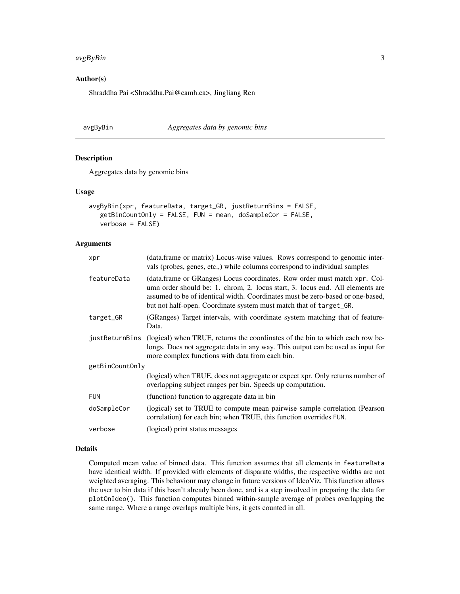#### <span id="page-2-0"></span>avgByBin 3

#### Author(s)

Shraddha Pai <Shraddha.Pai@camh.ca>, Jingliang Ren

avgByBin *Aggregates data by genomic bins*

#### Description

Aggregates data by genomic bins

#### Usage

```
avgByBin(xpr, featureData, target_GR, justReturnBins = FALSE,
  getBinCountOnly = FALSE, FUN = mean, doSampleCor = FALSE,
   verbose = FALSE)
```
#### Arguments

| xpr             | (data.frame or matrix) Locus-wise values. Rows correspond to genomic inter-<br>vals (probes, genes, etc.,) while columns correspond to individual samples                                                                                                                                                          |
|-----------------|--------------------------------------------------------------------------------------------------------------------------------------------------------------------------------------------------------------------------------------------------------------------------------------------------------------------|
| featureData     | (data.frame or GRanges) Locus coordinates. Row order must match xpr. Col-<br>umn order should be: 1. chrom, 2. locus start, 3. locus end. All elements are<br>assumed to be of identical width. Coordinates must be zero-based or one-based,<br>but not half-open. Coordinate system must match that of target_GR. |
| target_GR       | (GRanges) Target intervals, with coordinate system matching that of feature-<br>Data.                                                                                                                                                                                                                              |
| justReturnBins  | (logical) when TRUE, returns the coordinates of the bin to which each row be-<br>longs. Does not aggregate data in any way. This output can be used as input for<br>more complex functions with data from each bin.                                                                                                |
| getBinCountOnly |                                                                                                                                                                                                                                                                                                                    |
|                 | (logical) when TRUE, does not aggregate or expect xpr. Only returns number of<br>overlapping subject ranges per bin. Speeds up computation.                                                                                                                                                                        |
| <b>FUN</b>      | (function) function to aggregate data in bin                                                                                                                                                                                                                                                                       |
| doSampleCor     | (logical) set to TRUE to compute mean pairwise sample correlation (Pearson<br>correlation) for each bin; when TRUE, this function overrides FUN.                                                                                                                                                                   |
| verbose         | (logical) print status messages                                                                                                                                                                                                                                                                                    |
|                 |                                                                                                                                                                                                                                                                                                                    |

#### Details

Computed mean value of binned data. This function assumes that all elements in featureData have identical width. If provided with elements of disparate widths, the respective widths are not weighted averaging. This behaviour may change in future versions of IdeoViz. This function allows the user to bin data if this hasn't already been done, and is a step involved in preparing the data for plotOnIdeo(). This function computes binned within-sample average of probes overlapping the same range. Where a range overlaps multiple bins, it gets counted in all.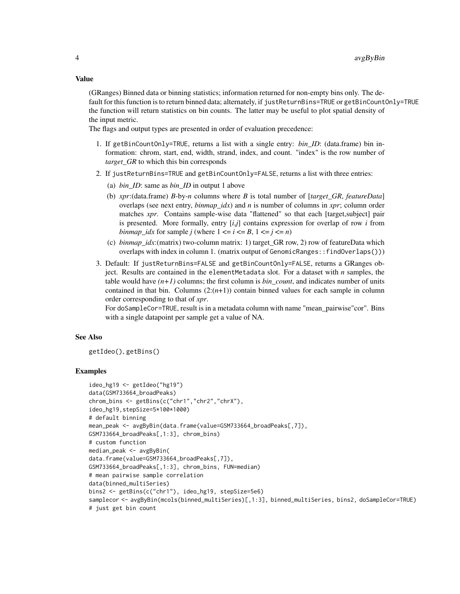#### Value

(GRanges) Binned data or binning statistics; information returned for non-empty bins only. The default for this function is to return binned data; alternately, if justReturnBins=TRUE or getBinCountOnly=TRUE the function will return statistics on bin counts. The latter may be useful to plot spatial density of the input metric.

The flags and output types are presented in order of evaluation precedence:

- 1. If getBinCountOnly=TRUE, returns a list with a single entry: *bin\_ID*: (data.frame) bin information: chrom, start, end, width, strand, index, and count. "index" is the row number of *target\_GR* to which this bin corresponds
- 2. If justReturnBins=TRUE and getBinCountOnly=FALSE, returns a list with three entries:
	- (a) *bin\_ID*: same as *bin\_ID* in output 1 above
	- (b) *xpr*:(data.frame) *B*-by-*n* columns where *B* is total number of [*target\_GR*, *featureData*] overlaps (see next entry, *binmap\_idx*) and *n* is number of columns in *xpr*; column order matches *xpr*. Contains sample-wise data "flattened" so that each [target,subject] pair is presented. More formally, entry [*i*,*j*] contains expression for overlap of row *i* from *binmap\_idx* for sample *j* (where  $1 \le i \le B$ ,  $1 \le j \le n$ )
	- (c) *binmap\_idx*:(matrix) two-column matrix: 1) target\_GR row, 2) row of featureData which overlaps with index in column 1. (matrix output of GenomicRanges::findOverlaps()))
- 3. Default: If justReturnBins=FALSE and getBinCountOnly=FALSE, returns a GRanges object. Results are contained in the elementMetadata slot. For a dataset with *n* samples, the table would have  $(n+1)$  columns; the first column is *bin\_count*, and indicates number of units contained in that bin. Columns  $(2:(n+1))$  contain binned values for each sample in column order corresponding to that of *xpr*.

For doSampleCor=TRUE, result is in a metadata column with name "mean\_pairwise"cor". Bins with a single datapoint per sample get a value of NA.

#### See Also

getIdeo(), getBins()

```
ideo_hg19 <- getIdeo("hg19")
data(GSM733664_broadPeaks)
chrom_bins <- getBins(c("chr1","chr2","chrX"),
ideo_hg19,stepSize=5*100*1000)
# default binning
mean_peak <- avgByBin(data.frame(value=GSM733664_broadPeaks[,7]),
GSM733664_broadPeaks[,1:3], chrom_bins)
# custom function
median_peak <- avgByBin(
data.frame(value=GSM733664_broadPeaks[,7]),
GSM733664_broadPeaks[,1:3], chrom_bins, FUN=median)
# mean pairwise sample correlation
data(binned_multiSeries)
bins2 <- getBins(c("chr1"), ideo_hg19, stepSize=5e6)
samplecor <- avgByBin(mcols(binned_multiSeries)[,1:3], binned_multiSeries, bins2, doSampleCor=TRUE)
# just get bin count
```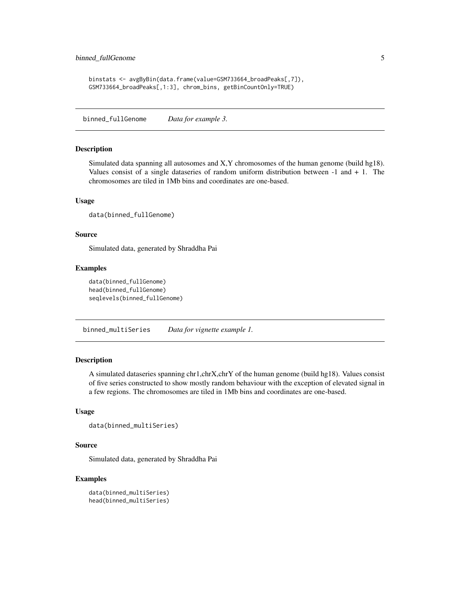```
binstats <- avgByBin(data.frame(value=GSM733664_broadPeaks[,7]),
GSM733664_broadPeaks[,1:3], chrom_bins, getBinCountOnly=TRUE)
```
binned\_fullGenome *Data for example 3.*

#### Description

Simulated data spanning all autosomes and X,Y chromosomes of the human genome (build hg18). Values consist of a single dataseries of random uniform distribution between  $-1$  and  $+1$ . The chromosomes are tiled in 1Mb bins and coordinates are one-based.

#### Usage

```
data(binned_fullGenome)
```
#### Source

Simulated data, generated by Shraddha Pai

#### Examples

```
data(binned_fullGenome)
head(binned_fullGenome)
seqlevels(binned_fullGenome)
```
binned\_multiSeries *Data for vignette example 1.*

#### **Description**

A simulated dataseries spanning chr1,chrX,chrY of the human genome (build hg18). Values consist of five series constructed to show mostly random behaviour with the exception of elevated signal in a few regions. The chromosomes are tiled in 1Mb bins and coordinates are one-based.

#### Usage

```
data(binned_multiSeries)
```
#### Source

Simulated data, generated by Shraddha Pai

```
data(binned_multiSeries)
head(binned_multiSeries)
```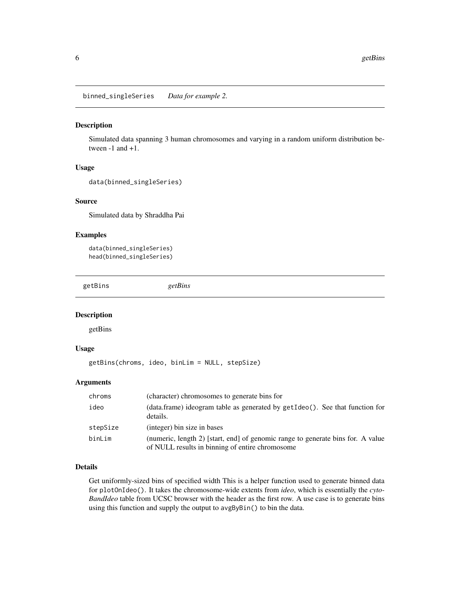<span id="page-5-0"></span>binned\_singleSeries *Data for example 2.*

#### Description

Simulated data spanning 3 human chromosomes and varying in a random uniform distribution between -1 and +1.

#### Usage

```
data(binned_singleSeries)
```
#### Source

Simulated data by Shraddha Pai

#### Examples

```
data(binned_singleSeries)
head(binned_singleSeries)
```
getBins *getBins*

#### Description

getBins

#### Usage

getBins(chroms, ideo, binLim = NULL, stepSize)

#### Arguments

| chroms   | (character) chromosomes to generate bins for                                                                                       |
|----------|------------------------------------------------------------------------------------------------------------------------------------|
| ideo     | (data.frame) ideogram table as generated by getIdeo(). See that function for<br>details.                                           |
| stepSize | (integer) bin size in bases                                                                                                        |
| binLim   | (numeric, length 2) [start, end] of genomic range to generate bins for. A value<br>of NULL results in binning of entire chromosome |

#### Details

Get uniformly-sized bins of specified width This is a helper function used to generate binned data for plotOnIdeo(). It takes the chromosome-wide extents from *ideo*, which is essentially the *cyto-BandIdeo* table from UCSC browser with the header as the first row. A use case is to generate bins using this function and supply the output to avgByBin() to bin the data.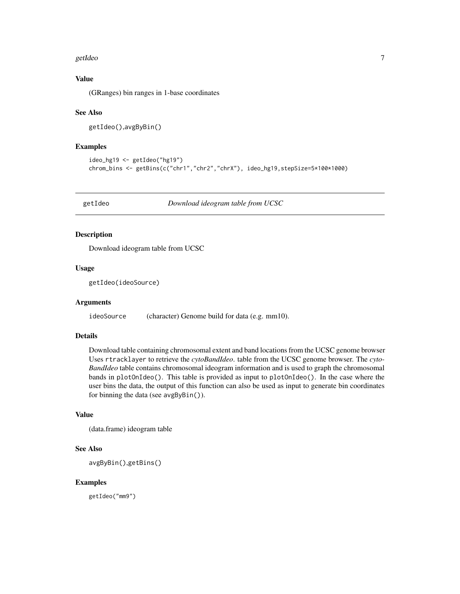#### <span id="page-6-0"></span>getIdeo and the set of the set of the set of the set of the set of the set of the set of the set of the set of the set of the set of the set of the set of the set of the set of the set of the set of the set of the set of t

#### Value

(GRanges) bin ranges in 1-base coordinates

#### See Also

```
getIdeo(),avgByBin()
```
#### Examples

```
ideo_hg19 <- getIdeo("hg19")
chrom_bins <- getBins(c("chr1","chr2","chrX"), ideo_hg19,stepSize=5*100*1000)
```
getIdeo *Download ideogram table from UCSC*

#### Description

Download ideogram table from UCSC

#### Usage

getIdeo(ideoSource)

#### Arguments

ideoSource (character) Genome build for data (e.g. mm10).

#### Details

Download table containing chromosomal extent and band locations from the UCSC genome browser Uses rtracklayer to retrieve the *cytoBandIdeo*. table from the UCSC genome browser. The *cyto-BandIdeo* table contains chromosomal ideogram information and is used to graph the chromosomal bands in plotOnIdeo(). This table is provided as input to plotOnIdeo(). In the case where the user bins the data, the output of this function can also be used as input to generate bin coordinates for binning the data (see avgByBin()).

#### Value

(data.frame) ideogram table

#### See Also

avgByBin(),getBins()

#### Examples

getIdeo("mm9")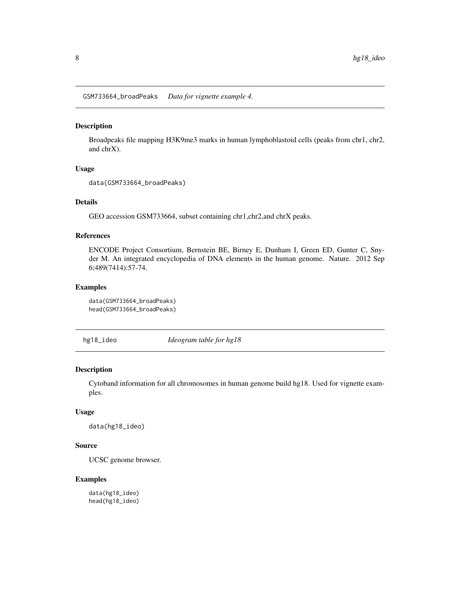<span id="page-7-0"></span>GSM733664\_broadPeaks *Data for vignette example 4.*

#### Description

Broadpeaks file mapping H3K9me3 marks in human lymphoblastoid cells (peaks from chr1, chr2, and chrX).

#### Usage

```
data(GSM733664_broadPeaks)
```
#### Details

GEO accession GSM733664, subset containing chr1,chr2,and chrX peaks.

#### References

ENCODE Project Consortium, Bernstein BE, Birney E, Dunham I, Green ED, Gunter C, Snyder M. An integrated encyclopedia of DNA elements in the human genome. Nature. 2012 Sep 6;489(7414):57-74.

#### Examples

```
data(GSM733664_broadPeaks)
head(GSM733664_broadPeaks)
```
hg18\_ideo *Ideogram table for hg18*

#### Description

Cytoband information for all chromosomes in human genome build hg18. Used for vignette examples.

#### Usage

```
data(hg18_ideo)
```
#### Source

UCSC genome browser.

#### Examples

data(hg18\_ideo) head(hg18\_ideo)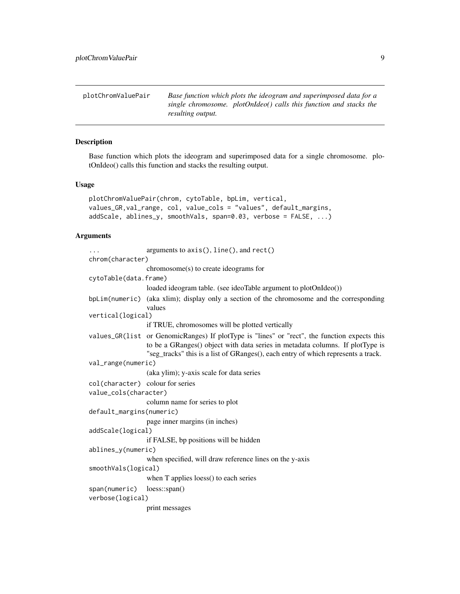<span id="page-8-0"></span>plotChromValuePair *Base function which plots the ideogram and superimposed data for a single chromosome. plotOnIdeo() calls this function and stacks the resulting output.*

#### Description

Base function which plots the ideogram and superimposed data for a single chromosome. plotOnIdeo() calls this function and stacks the resulting output.

#### Usage

```
plotChromValuePair(chrom, cytoTable, bpLim, vertical,
values_GR,val_range, col, value_cols = "values", default_margins,
addScale, ablines_y, smoothVals, span=0.03, verbose = FALSE, ...)
```
#### Arguments

| $\cdots$                         | arguments to $axis(), line(), and rect()$                                                    |
|----------------------------------|----------------------------------------------------------------------------------------------|
| chrom(character)                 |                                                                                              |
|                                  | chromosome(s) to create ideograms for                                                        |
| cytoTable(data.frame)            |                                                                                              |
|                                  | loaded ideogram table. (see ideoTable argument to plotOnIdeo())                              |
|                                  | bpLim(numeric) (aka xlim); display only a section of the chromosome and the corresponding    |
|                                  | values                                                                                       |
| vertical(logical)                |                                                                                              |
|                                  | if TRUE, chromosomes will be plotted vertically                                              |
|                                  | values_GR(list or GenomicRanges) If plotType is "lines" or "rect", the function expects this |
|                                  | to be a GRanges() object with data series in metadata columns. If plotType is                |
|                                  | "seg_tracks" this is a list of GRanges(), each entry of which represents a track.            |
| val_range(numeric)               |                                                                                              |
|                                  | (aka ylim); y-axis scale for data series                                                     |
| col(character) colour for series |                                                                                              |
| value_cols(character)            |                                                                                              |
|                                  | column name for series to plot                                                               |
| default_margins(numeric)         |                                                                                              |
|                                  | page inner margins (in inches)                                                               |
| addScale(logical)                |                                                                                              |
|                                  | if FALSE, bp positions will be hidden                                                        |
| ablines_y(numeric)               |                                                                                              |
|                                  | when specified, will draw reference lines on the y-axis                                      |
| smoothVals(logical)              |                                                                                              |
|                                  | when T applies loess() to each series                                                        |
| span(numeric) loess::span()      |                                                                                              |
| verbose(logical)                 |                                                                                              |
|                                  | print messages                                                                               |
|                                  |                                                                                              |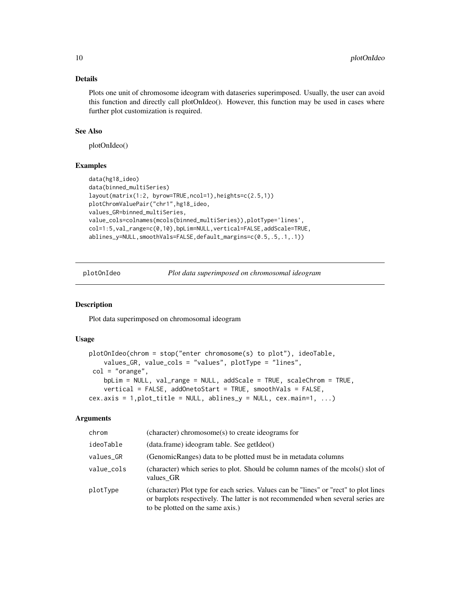#### <span id="page-9-0"></span>Details

Plots one unit of chromosome ideogram with dataseries superimposed. Usually, the user can avoid this function and directly call plotOnIdeo(). However, this function may be used in cases where further plot customization is required.

#### See Also

plotOnIdeo()

#### Examples

```
data(hg18_ideo)
data(binned_multiSeries)
layout(matrix(1:2, byrow=TRUE,ncol=1),heights=c(2.5,1))
plotChromValuePair("chr1",hg18_ideo,
values_GR=binned_multiSeries,
value_cols=colnames(mcols(binned_multiSeries)),plotType='lines',
col=1:5,val_range=c(0,10),bpLim=NULL,vertical=FALSE,addScale=TRUE,
ablines_y=NULL,smoothVals=FALSE,default_margins=c(0.5,.5,.1,.1))
```
plotOnIdeo *Plot data superimposed on chromosomal ideogram*

#### Description

Plot data superimposed on chromosomal ideogram

#### Usage

```
plotOnIdeo(chrom = stop("enter chromosome(s) to plot"), ideoTable,
    values_GR, value_cols = "values", plotType = "lines",
 col = "orange",bpLim = NULL, val_range = NULL, addScale = TRUE, scaleChrom = TRUE,
    vertical = FALSE, addOnetoStart = TRUE, smoothVals = FALSE,
cex.axis = 1, plot_title = NULL, ablines_y = NULL, cex.main=1, ...)
```
#### Arguments

| chrom      | (character) chromosome(s) to create ideograms for                                                                                                                                                           |
|------------|-------------------------------------------------------------------------------------------------------------------------------------------------------------------------------------------------------------|
| ideoTable  | $(data.frame)$ ideogram table. See getIdeo()                                                                                                                                                                |
| values_GR  | (GenomicRanges) data to be plotted must be in metadata columns                                                                                                                                              |
| value_cols | (character) which series to plot. Should be column names of the mcols() slot of<br>values GR                                                                                                                |
| plotType   | (character) Plot type for each series. Values can be "lines" or "rect" to plot lines<br>or barplots respectively. The latter is not recommended when several series are<br>to be plotted on the same axis.) |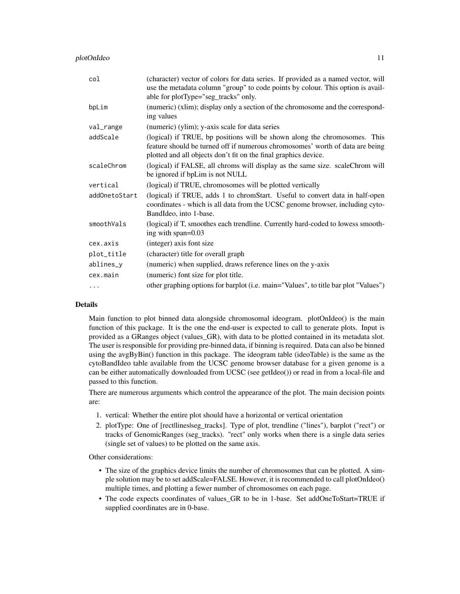| col           | (character) vector of colors for data series. If provided as a named vector, will<br>use the metadata column "group" to code points by colour. This option is avail-<br>able for plotType="seg_tracks" only.                  |
|---------------|-------------------------------------------------------------------------------------------------------------------------------------------------------------------------------------------------------------------------------|
| bpLim         | (numeric) (xlim); display only a section of the chromosome and the correspond-<br>ing values                                                                                                                                  |
| val_range     | (numeric) (ylim); y-axis scale for data series                                                                                                                                                                                |
| addScale      | (logical) if TRUE, bp positions will be shown along the chromosomes. This<br>feature should be turned off if numerous chromosomes' worth of data are being<br>plotted and all objects don't fit on the final graphics device. |
| scaleChrom    | (logical) if FALSE, all chroms will display as the same size. scaleChrom will<br>be ignored if bpLim is not NULL                                                                                                              |
| vertical      | (logical) if TRUE, chromosomes will be plotted vertically                                                                                                                                                                     |
| addOnetoStart | (logical) if TRUE, adds 1 to chromStart. Useful to convert data in half-open<br>coordinates - which is all data from the UCSC genome browser, including cyto-<br>BandIdeo, into 1-base.                                       |
| smoothVals    | (logical) if T, smoothes each trendline. Currently hard-coded to lowess smooth-<br>ing with span=0.03                                                                                                                         |
| cex.axis      | (integer) axis font size                                                                                                                                                                                                      |
| plot_title    | (character) title for overall graph                                                                                                                                                                                           |
| ablines_y     | (numeric) when supplied, draws reference lines on the y-axis                                                                                                                                                                  |
| cex.main      | (numeric) font size for plot title.                                                                                                                                                                                           |
| $\cdots$      | other graphing options for barplot (i.e. main="Values", to title bar plot "Values")                                                                                                                                           |

#### Details

Main function to plot binned data alongside chromosomal ideogram. plotOnIdeo() is the main function of this package. It is the one the end-user is expected to call to generate plots. Input is provided as a GRanges object (values\_GR), with data to be plotted contained in its metadata slot. The user is responsible for providing pre-binned data, if binning is required. Data can also be binned using the avgByBin() function in this package. The ideogram table (ideoTable) is the same as the cytoBandIdeo table available from the UCSC genome browser database for a given genome is a can be either automatically downloaded from UCSC (see getIdeo()) or read in from a local-file and passed to this function.

There are numerous arguments which control the appearance of the plot. The main decision points are:

- 1. vertical: Whether the entire plot should have a horizontal or vertical orientation
- 2. plotType: One of [rect|lines|seg\_tracks]. Type of plot, trendline ("lines"), barplot ("rect") or tracks of GenomicRanges (seg\_tracks). "rect" only works when there is a single data series (single set of values) to be plotted on the same axis.

Other considerations:

- The size of the graphics device limits the number of chromosomes that can be plotted. A simple solution may be to set addScale=FALSE. However, it is recommended to call plotOnIdeo() multiple times, and plotting a fewer number of chromosomes on each page.
- The code expects coordinates of values\_GR to be in 1-base. Set addOneToStart=TRUE if supplied coordinates are in 0-base.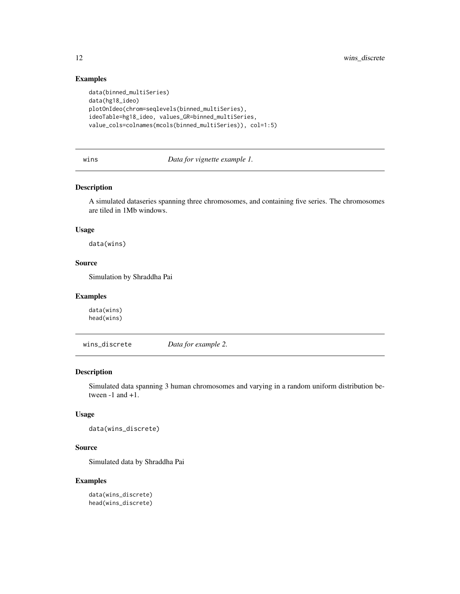#### Examples

```
data(binned_multiSeries)
data(hg18_ideo)
plotOnIdeo(chrom=seqlevels(binned_multiSeries),
ideoTable=hg18_ideo, values_GR=binned_multiSeries,
value_cols=colnames(mcols(binned_multiSeries)), col=1:5)
```
#### wins *Data for vignette example 1.*

#### Description

A simulated dataseries spanning three chromosomes, and containing five series. The chromosomes are tiled in 1Mb windows.

#### Usage

data(wins)

#### Source

Simulation by Shraddha Pai

#### Examples

data(wins) head(wins)

wins\_discrete *Data for example 2.*

#### Description

Simulated data spanning 3 human chromosomes and varying in a random uniform distribution between -1 and +1.

#### Usage

```
data(wins_discrete)
```
#### Source

Simulated data by Shraddha Pai

```
data(wins_discrete)
head(wins_discrete)
```
<span id="page-11-0"></span>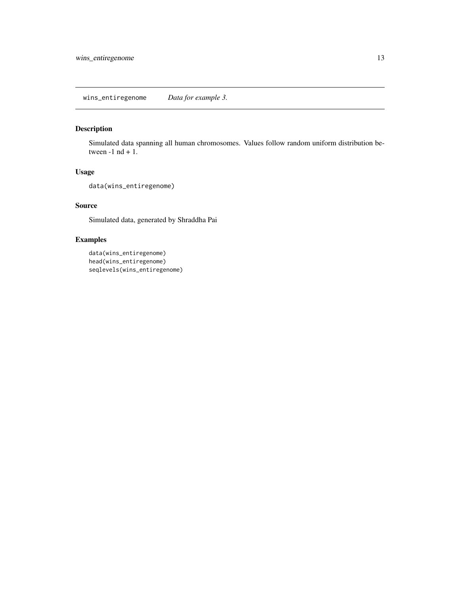#### <span id="page-12-0"></span>Description

Simulated data spanning all human chromosomes. Values follow random uniform distribution between  $-1$  nd  $+1$ .

#### Usage

```
data(wins_entiregenome)
```
#### Source

Simulated data, generated by Shraddha Pai

```
data(wins_entiregenome)
head(wins_entiregenome)
seqlevels(wins_entiregenome)
```